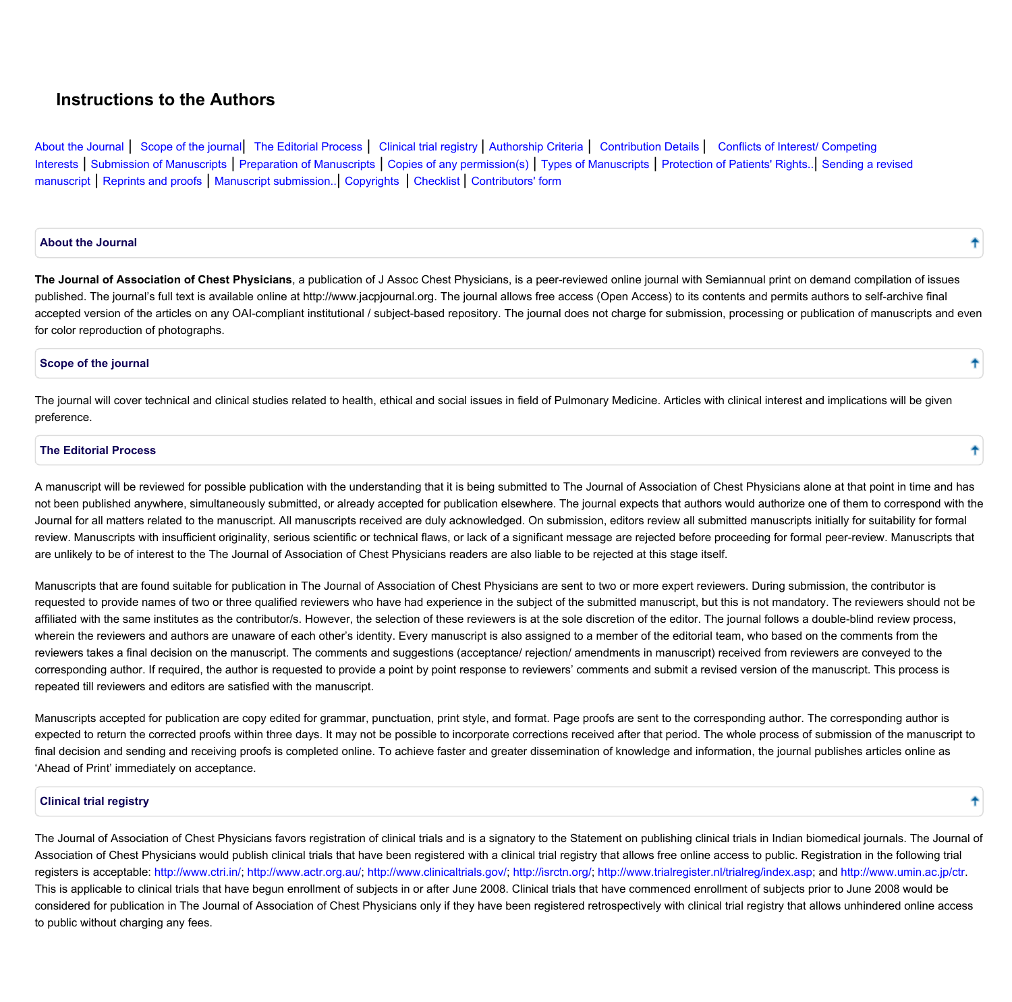# **Instructions to the Authors**

[About](#page-0-0) [the](#page-0-1) [Journal](#page-0-0) | [Scope](#page-0-1) [of](#page-1-2) the [journal](#page-0-1) [The](#page-0-2) [Editorial](#page-0-2) [Process](#page-0-2) | [Clinical](#page-0-3) [trial](#page-0-3) [registry](#page-0-3) | [Authorship](#page-1-0) [Criteria](#page-1-0) | [Contribution](#page-1-1) [Details](#page-1-1) | [Conflicts](#page-1-2) of [Interest/](#page-1-2) [Competing](#page-1-2) [Interests](#page-1-2) [Submission](#page-1-3) [of](#page-6-0) [Manuscripts](#page-2-2) | [Preparation](#page-2-0) of Manuscripts | [Copies](#page-2-1) of [any](#page-2-1) [permission\(s\)](#page-2-1) | [Types](#page-2-2) of Manuscripts | [Protection](#page-6-0) of [Patients'](#page-6-0) [Rights..](#page-6-0) [Sending](#page-6-1) [a](#page-6-1) [revised](#page-6-1) **[manuscript](#page-6-1) | [Reprints](#page-6-2) [and](#page-6-2) [proofs](#page-6-2) | [Manuscript](#page-7-0) [submission..](#page-7-0)| [Copyrights](#page-7-1) [|](#page-7-1) [Checklist](#page-7-2) | [Contributors'](#page-8-0) [form](#page-8-0)**

#### <span id="page-0-0"></span> **About the Journal**

The Journal of Association of Chest Physicians, a publication of J Assoc Chest Physicians, is a peer-reviewed online journal with Semiannual print on demand compilation of issues published. The journal's full text is available online at http://www.jacpjournal.org. The journal allows free access (Open Access) to its contents and permits authors to self-archive final accepted version of the articles on any OAI-compliant institutional / subject-based repository. The journal does not charge for submission, processing or publication of manuscripts and even **for color reproduction of photographs.**

ቶ

٠

╇

↑

### <span id="page-0-1"></span> **Scope of the journal**

The journal will cover technical and clinical studies related to health, ethical and social issues in field of Pulmonary Medicine. Articles with clinical interest and implications will be given **preference.** 

### <span id="page-0-2"></span> **The Editorial Process**

A manuscript will be reviewed for possible publication with the understanding that it is being submitted to The Journal of Association of Chest Physicians alone at that point in time and has not been published anywhere, simultaneously submitted, or already accepted for publication elsewhere. The journal expects that authors would authorize one of them to correspond with the Journal for all matters related to the manuscript. All manuscripts received are duly acknowledged. On submission, editors review all submitted manuscripts initially for suitability for formal review. Manuscripts with insufficient originality, serious scientific or technical flaws, or lack of a significant message are rejected before proceeding for formal peer-review. Manuscripts that are unlikely to be of interest to the The Journal of Association of Chest Physicians readers are also liable to be rejected at this stage itself.

Manuscripts that are found suitable for publication in The Journal of Association of Chest Physicians are sent to two or more expert reviewers. During submission, the contributor is requested to provide names of two or three qualified reviewers who have had experience in the subject of the submitted manuscript, but this is not mandatory. The reviewers should not be affiliated with the same institutes as the contributor/s. However, the selection of these reviewers is at the sole discretion of the editor. The journal follows a double-blind review process, wherein the reviewers and authors are unaware of each other's identity. Every manuscript is also assigned to a member of the editorial team, who based on the comments from the reviewers takes a final decision on the manuscript. The comments and suggestions (acceptance/ rejection/ amendments in manuscript) received from reviewers are conveyed to the corresponding author. If required, the author is requested to provide a point by point response to reviewers' comments and submit a revised version of the manuscript. This process is **repeated till reviewers and editors are satisfied with the manuscript.**

Manuscripts accepted for publication are copy edited for grammar, punctuation, print style, and format. Page proofs are sent to the corresponding author. The corresponding author is expected to return the corrected proofs within three days. It may not be possible to incorporate corrections received after that period. The whole process of submission of the manuscript to final decision and sending and receiving proofs is completed online. To achieve faster and greater dissemination of knowledge and information, the journal publishes articles online as **'Ahead of Print' immediately on acceptance.**

# <span id="page-0-3"></span> **Clinical trial registry**

The Journal of Association of Chest Physicians favors registration of clinical trials and is a signatory to the Statement on publishing clinical trials in Indian biomedical journals. The Journal of Association of Chest Physicians would publish clinical trials that have been registered with a clinical trial registry that allows free online access to public. Registration in the following trial registers is acceptable: [http://www.ctri.in/;](http://www.ctri.in/) [http://www.actr.org.au/;](http://www.actr.org.au/) [http://www.clinicaltrials.gov/;](http://www.clinicaltrials.gov/) [http://isrctn.org/;](http://isrctn.org/) <http://www.trialregister.nl/trialreg/index.asp>; and [http://www.umin.ac.jp/ctr.](http://www.umin.ac.jp/ctr) This is applicable to clinical trials that have begun enrollment of subjects in or after June 2008. Clinical trials that have commenced enrollment of subjects prior to June 2008 would be considered for publication in The Journal of Association of Chest Physicians only if they have been registered retrospectively with clinical trial registry that allows unhindered online access **to public without charging any fees.**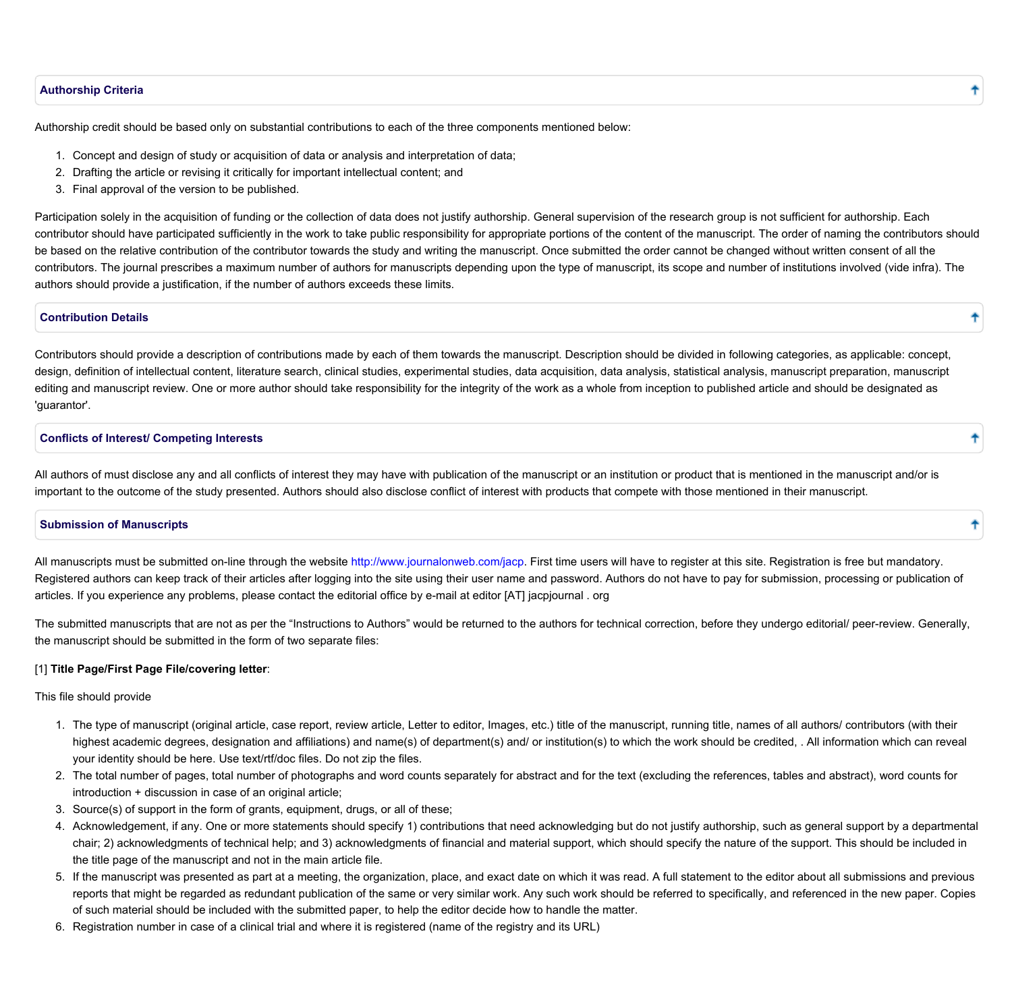# <span id="page-1-0"></span> **Authorship Criteria**

Authorship credit should be based only on substantial contributions to each of the three components mentioned below:

- **1. Concept and design of study or acquisition of data or analysis and interpretation of data;**
- **2. Drafting the article or revising it critically for important intellectual content; and**
- **3. Final approval of the version to be published.**

Participation solely in the acquisition of funding or the collection of data does not justify authorship. General supervision of the research group is not sufficient for authorship. Each contributor should have participated sufficiently in the work to take public responsibility for appropriate portions of the content of the manuscript. The order of naming the contributors should be based on the relative contribution of the contributor towards the study and writing the manuscript. Once submitted the order cannot be changed without written consent of all the contributors. The journal prescribes a maximum number of authors for manuscripts depending upon the type of manuscript, its scope and number of institutions involved (vide infra). The **authors should provide a justification, if the number of authors exceeds these limits.**

#### <span id="page-1-1"></span> **Contribution Details**

Contributors should provide a description of contributions made by each of them towards the manuscript. Description should be divided in following categories, as applicable: concept, design, definition of intellectual content, literature search, clinical studies, experimental studies, data acquisition, data analysis, statistical analysis, manuscript preparation, manuscript editing and manuscript review. One or more author should take responsibility for the integrity of the work as a whole from inception to published article and should be designated as **'guarantor'.** 

# <span id="page-1-2"></span> **Conflicts of Interest/ Competing Interests**

All authors of must disclose any and all conflicts of interest they may have with publication of the manuscript or an institution or product that is mentioned in the manuscript and/or is important to the outcome of the study presented. Authors should also disclose conflict of interest with products that compete with those mentioned in their manuscript.

#### <span id="page-1-3"></span> **Submission of Manuscripts**

All manuscripts must be submitted on-line through the website <http://www.journalonweb.com/jacp>. First time users will have to register at this site. Registration is free but mandatory. Registered authors can keep track of their articles after logging into the site using their user name and password. Authors do not have to pay for submission, processing or publication of articles. If you experience any problems, please contact the editorial office by e-mail at editor [AT] jacpjournal . org

The submitted manuscripts that are not as per the "Instructions to Authors" would be returned to the authors for technical correction, before they undergo editorial/ peer-review. Generally, **the manuscript should be submitted in the form of two separate files:**

#### **[1] Title Page/First Page File/covering letter:**

### **This file should provide**

- 1. The type of manuscript (original article, case report, review article, Letter to editor, Images, etc.) title of the manuscript, running title, names of all authors/ contributors (with their highest academic degrees, designation and affiliations) and name(s) of department(s) and/ or institution(s) to which the work should be credited, . All information which can reveal **your identity should be here. Use text/rtf/doc files. Do not zip the files.**
- 2. The total number of pages, total number of photographs and word counts separately for abstract and for the text (excluding the references, tables and abstract), word counts for **introduction + discussion in case of an original article;**
- **3. Source(s) of support in the form of grants, equipment, drugs, or all of these;**
- 4. Acknowledgement, if any. One or more statements should specify 1) contributions that need acknowledging but do not justify authorship, such as general support by a departmental chair; 2) acknowledgments of technical help; and 3) acknowledgments of financial and material support, which should specify the nature of the support. This should be included in **the title page of the manuscript and not in the main article file.**
- 5. If the manuscript was presented as part at a meeting, the organization, place, and exact date on which it was read. A full statement to the editor about all submissions and previous reports that might be regarded as redundant publication of the same or very similar work. Any such work should be referred to specifically, and referenced in the new paper. Copies of such material should be included with the submitted paper, to help the editor decide how to handle the matter.
- 6. Registration number in case of a clinical trial and where it is registered (name of the registry and its URL)

٠

ቶ

╇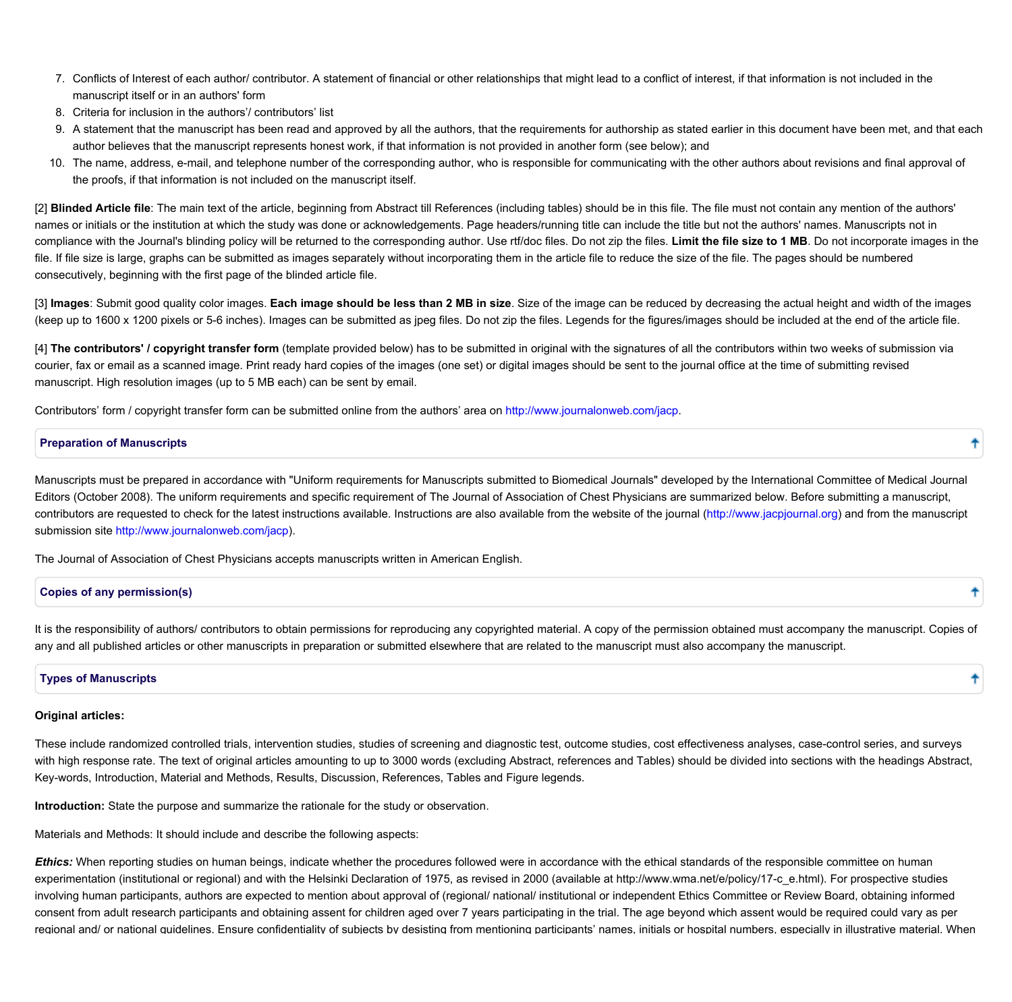- 7. Conflicts of Interest of each author/contributor. A statement of financial or other relationships that might lead to a conflict of interest, if that information is not included in the **manuscript itself or in an authors' form**
- **8. Criteria for inclusion in the authors'/ contributors' list**
- 9. A statement that the manuscript has been read and approved by all the authors, that the requirements for authorship as stated earlier in this document have been met, and that each author believes that the manuscript represents honest work, if that information is not provided in another form (see below); and
- 10. The name, address, e-mail, and telephone number of the corresponding author, who is responsible for communicating with the other authors about revisions and final approval of **the proofs, if that information is not included on the manuscript itself.**

[2] Blinded Article file: The main text of the article, beginning from Abstract till References (including tables) should be in this file. The file must not contain any mention of the authors' names or initials or the institution at which the study was done or acknowledgements. Page headers/running title can include the title but not the authors' names. Manuscripts not in compliance with the Journal's blinding policy will be returned to the corresponding author. Use rtf/doc files. Do not zip the files. Limit the file size to 1 MB. Do not incorporate images in the file. If file size is large, graphs can be submitted as images separately without incorporating them in the article file to reduce the size of the file. The pages should be numbered **consecutively, beginning with the first page of the blinded article file.**

[3] Images: Submit good quality color images. Each image should be less than 2 MB in size. Size of the image can be reduced by decreasing the actual height and width of the images (keep up to 1600 x 1200 pixels or 5-6 inches). Images can be submitted as jpeg files. Do not zip the files. Legends for the figures/images should be included at the end of the article file.

[4] The contributors' / copyright transfer form (template provided below) has to be submitted in original with the signatures of all the contributors within two weeks of submission via courier, fax or email as a scanned image. Print ready hard copies of the images (one set) or digital images should be sent to the journal office at the time of submitting revised **manuscript. High resolution images (up to 5 MB each) can be sent by email.**

Contributors' form / copyright transfer form can be submitted online from the authors' area on <http://www.journalonweb.com/jacp>.

# <span id="page-2-0"></span> **Preparation of Manuscripts**

Manuscripts must be prepared in accordance with "Uniform requirements for Manuscripts submitted to Biomedical Journals" developed by the International Committee of Medical Journal Editors (October 2008). The uniform requirements and specific requirement of The Journal of Association of Chest Physicians are summarized below. Before submitting a manuscript, contributors are requested to check for the latest instructions available. Instructions are also available from the website of the journal (<http://www.jacpjournal.org>) and from the manuscript **submission site <http://www.journalonweb.com/jacp>).**

╇

╇

4

**The Journal of Association of Chest Physicians accepts manuscripts written in American English.**

### <span id="page-2-1"></span> **Copies of any permission(s)**

It is the responsibility of authors/ contributors to obtain permissions for reproducing any copyrighted material. A copy of the permission obtained must accompany the manuscript. Copies of any and all published articles or other manuscripts in preparation or submitted elsewhere that are related to the manuscript must also accompany the manuscript.

### <span id="page-2-2"></span> **Types of Manuscripts**

#### **Original articles:**

These include randomized controlled trials, intervention studies, studies of screening and diagnostic test, outcome studies, cost effectiveness analyses, case-control series, and surveys with high response rate. The text of original articles amounting to up to 3000 words (excluding Abstract, references and Tables) should be divided into sections with the headings Abstract, **Key-words, Introduction, Material and Methods, Results, Discussion, References, Tables and Figure legends.**

**Introduction: State the purpose and summarize the rationale for the study or observation.** 

**Materials and Methods: It should include and describe the following aspects:**

Ethics: When reporting studies on human beings, indicate whether the procedures followed were in accordance with the ethical standards of the responsible committee on human experimentation (institutional or regional) and with the Helsinki Declaration of 1975, as revised in 2000 (available at http://www.wma.net/e/policy/17-c e.html). For prospective studies involving human participants, authors are expected to mention about approval of (regional/ national/ institutional or independent Ethics Committee or Review Board, obtaining informed consent from adult research participants and obtaining assent for children aged over 7 years participating in the trial. The age beyond which assent would be required could vary as per regional and/ or national quidelines. Ensure confidentiality of subiects by desisting from mentioning participants' names, initials or hospital numbers, especially in illustrative material, When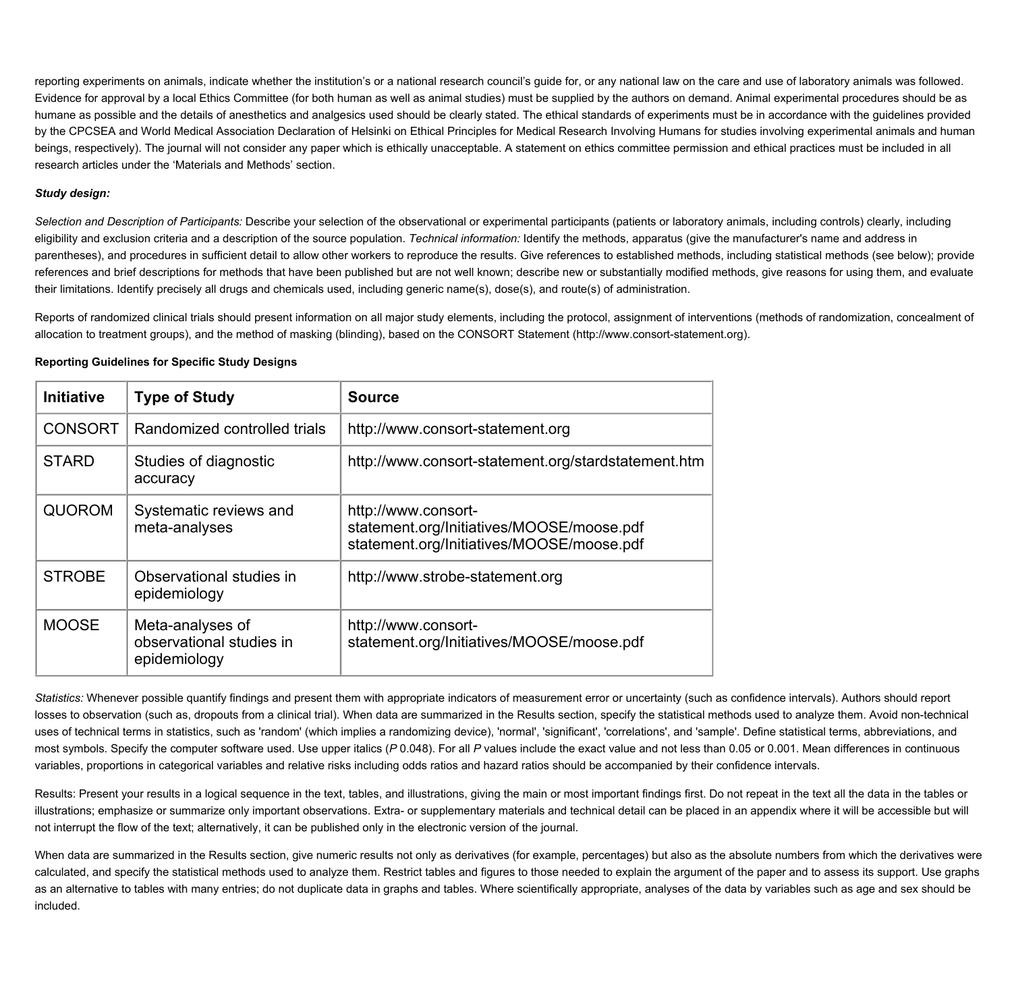reporting experiments on animals, indicate whether the institution's or a national research council's guide for, or any national law on the care and use of laboratory animals was followed. Evidence for approval by a local Ethics Committee (for both human as well as animal studies) must be supplied by the authors on demand. Animal experimental procedures should be as humane as possible and the details of anesthetics and analgesics used should be clearly stated. The ethical standards of experiments must be in accordance with the guidelines provided by the CPCSEA and World Medical Association Declaration of Helsinki on Ethical Principles for Medical Research Involving Humans for studies involving experimental animals and human beings, respectively). The journal will not consider any paper which is ethically unacceptable. A statement on ethics committee permission and ethical practices must be included in all **research articles under the 'Materials and Methods' section.**

# *Study design:*

Selection and Description of Participants: Describe your selection of the observational or experimental participants (patients or laboratory animals, including controls) clearly, including eligibility and exclusion criteria and a description of the source population. Technical information: Identify the methods, apparatus (give the manufacturer's name and address in parentheses), and procedures in sufficient detail to allow other workers to reproduce the results. Give references to established methods, including statistical methods (see below); provide references and brief descriptions for methods that have been published but are not well known; describe new or substantially modified methods, give reasons for using them, and evaluate their limitations. Identify precisely all drugs and chemicals used, including generic name(s), dose(s), and route(s) of administration.

Reports of randomized clinical trials should present information on all major study elements, including the protocol, assignment of interventions (methods of randomization, concealment of allocation to treatment groups), and the method of masking (blinding), based on the CONSORT Statement (http://www.consort-statement.org).

# **Reporting Guidelines for Specific Study Designs**

| <b>Initiative</b> | <b>Type of Study</b>                                         | <b>Source</b>                                                                                                 |
|-------------------|--------------------------------------------------------------|---------------------------------------------------------------------------------------------------------------|
| <b>CONSORT</b>    | Randomized controlled trials                                 | http://www.consort-statement.org                                                                              |
| <b>STARD</b>      | Studies of diagnostic<br>accuracy                            | http://www.consort-statement.org/stardstatement.htm                                                           |
| <b>QUOROM</b>     | Systematic reviews and<br>meta-analyses                      | http://www.consort-<br>statement.org/Initiatives/MOOSE/moose.pdf<br>statement.org/Initiatives/MOOSE/moose.pdf |
| <b>STROBE</b>     | Observational studies in<br>epidemiology                     | http://www.strobe-statement.org                                                                               |
| <b>MOOSE</b>      | Meta-analyses of<br>observational studies in<br>epidemiology | http://www.consort-<br>statement.org/Initiatives/MOOSE/moose.pdf                                              |

Statistics: Whenever possible quantify findings and present them with appropriate indicators of measurement error or uncertainty (such as confidence intervals). Authors should report losses to observation (such as, dropouts from a clinical trial). When data are summarized in the Results section, specify the statistical methods used to analyze them. Avoid non-technical uses of technical terms in statistics, such as 'random' (which implies a randomizing device), 'normal', 'significant', 'correlations', and 'sample'. Define statistical terms, abbreviations, and most symbols. Specify the computer software used. Use upper italics (P 0.048). For all P values include the exact value and not less than 0.05 or 0.001. Mean differences in continuous variables, proportions in categorical variables and relative risks including odds ratios and hazard ratios should be accompanied by their confidence intervals.

Results: Present your results in a logical sequence in the text, tables, and illustrations, giving the main or most important findings first. Do not repeat in the text all the data in the tables or illustrations; emphasize or summarize only important observations. Extra- or supplementary materials and technical detail can be placed in an appendix where it will be accessible but will not interrupt the flow of the text; alternatively, it can be published only in the electronic version of the journal.

When data are summarized in the Results section, give numeric results not only as derivatives (for example, percentages) but also as the absolute numbers from which the derivatives were calculated, and specify the statistical methods used to analyze them. Restrict tables and figures to those needed to explain the argument of the paper and to assess its support. Use graphs as an alternative to tables with many entries; do not duplicate data in graphs and tables. Where scientifically appropriate, analyses of the data by variables such as age and sex should be **included.**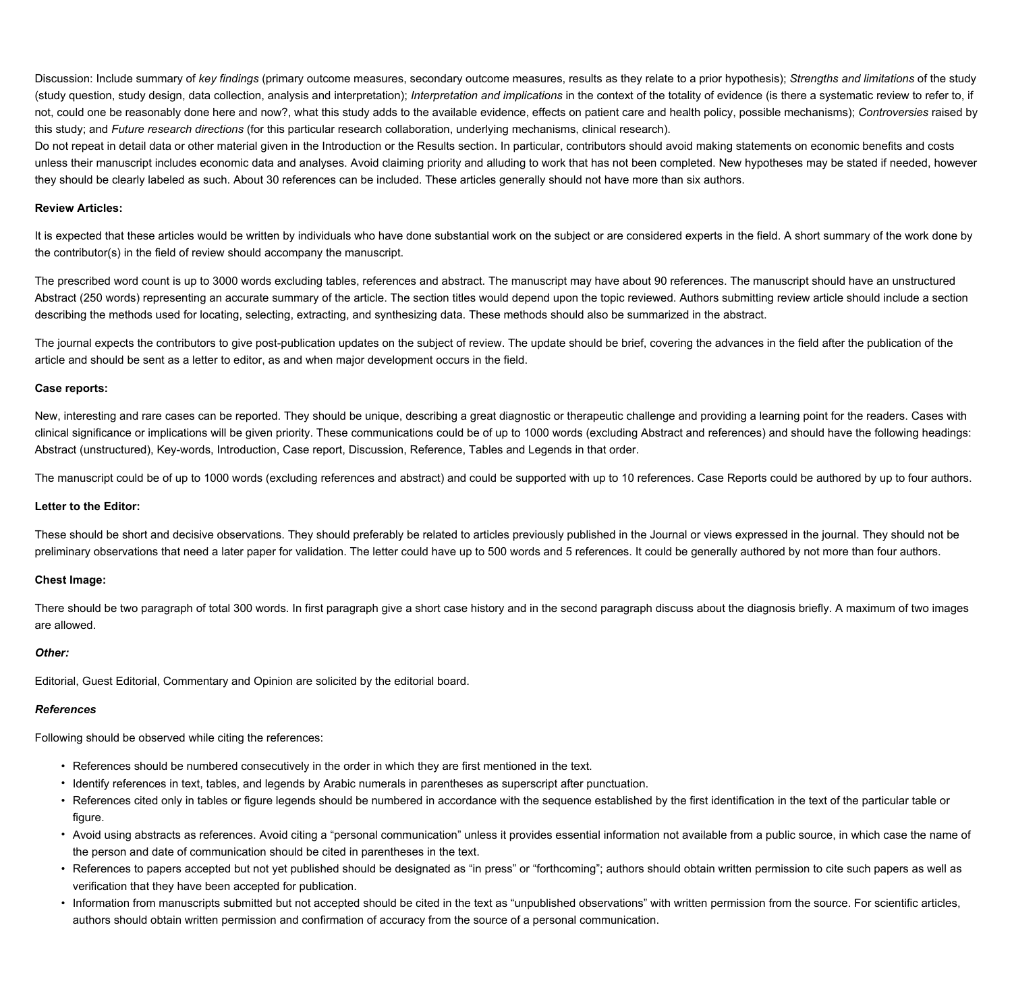Discussion: Include summary of key findings (primary outcome measures, secondary outcome measures, results as they relate to a prior hypothesis); Strengths and limitations of the study (study question, study design, data collection, analysis and interpretation); Interpretation and implications in the context of the totality of evidence (is there a systematic review to refer to, if not, could one be reasonably done here and now?, what this study adds to the available evidence, effects on patient care and health policy, possible mechanisms); Controversies raised by this study; and *Future research directions* (for this particular research collaboration, underlying mechanisms, clinical research).

Do not repeat in detail data or other material given in the Introduction or the Results section. In particular, contributors should avoid making statements on economic benefits and costs unless their manuscript includes economic data and analyses. Avoid claiming priority and alluding to work that has not been completed. New hypotheses may be stated if needed, however they should be clearly labeled as such. About 30 references can be included. These articles generally should not have more than six authors.

# **Review Articles:**

It is expected that these articles would be written by individuals who have done substantial work on the subject or are considered experts in the field. A short summary of the work done by **the contributor(s) in the field of review should accompany the manuscript.**

The prescribed word count is up to 3000 words excluding tables, references and abstract. The manuscript may have about 90 references. The manuscript should have an unstructured Abstract (250 words) representing an accurate summary of the article. The section titles would depend upon the topic reviewed. Authors submitting review article should include a section describing the methods used for locating, selecting, extracting, and synthesizing data. These methods should also be summarized in the abstract.

The journal expects the contributors to give post-publication updates on the subject of review. The update should be brief, covering the advances in the field after the publication of the article and should be sent as a letter to editor, as and when major development occurs in the field.

#### **Case reports:**

New, interesting and rare cases can be reported. They should be unique, describing a great diagnostic or therapeutic challenge and providing a learning point for the readers. Cases with clinical significance or implications will be given priority. These communications could be of up to 1000 words (excluding Abstract and references) and should have the following headings: **Abstract (unstructured), Key-words, Introduction, Case report, Discussion, Reference, Tables and Legends in that order.**

The manuscript could be of up to 1000 words (excluding references and abstract) and could be supported with up to 10 references. Case Reports could be authored by up to four authors.

#### **Letter to the Editor:**

These should be short and decisive observations. They should preferably be related to articles previously published in the Journal or views expressed in the journal. They should not be preliminary observations that need a later paper for validation. The letter could have up to 500 words and 5 references. It could be generally authored by not more than four authors.

#### **Chest Image:**

There should be two paragraph of total 300 words. In first paragraph give a short case history and in the second paragraph discuss about the diagnosis briefly. A maximum of two images **are allowed.**

### *Other:*

**Editorial, Guest Editorial, Commentary and Opinion are solicited by the editorial board.**

# *References*

**Following should be observed while citing the references:**

- References should be numbered consecutively in the order in which they are first mentioned in the text.
- Identify references in text, tables, and legends by Arabic numerals in parentheses as superscript after punctuation.
- References cited only in tables or figure legends should be numbered in accordance with the sequence established by the first identification in the text of the particular table or **figure.**
- Avoid using abstracts as references. Avoid citing a "personal communication" unless it provides essential information not available from a public source, in which case the name of **the person and date of communication should be cited in parentheses in the text.**
- References to papers accepted but not yet published should be designated as "in press" or "forthcoming"; authors should obtain written permission to cite such papers as well as **verification that they have been accepted for publication.**
- Information from manuscripts submitted but not accepted should be cited in the text as "unpublished observations" with written permission from the source. For scientific articles, authors should obtain written permission and confirmation of accuracy from the source of a personal communication.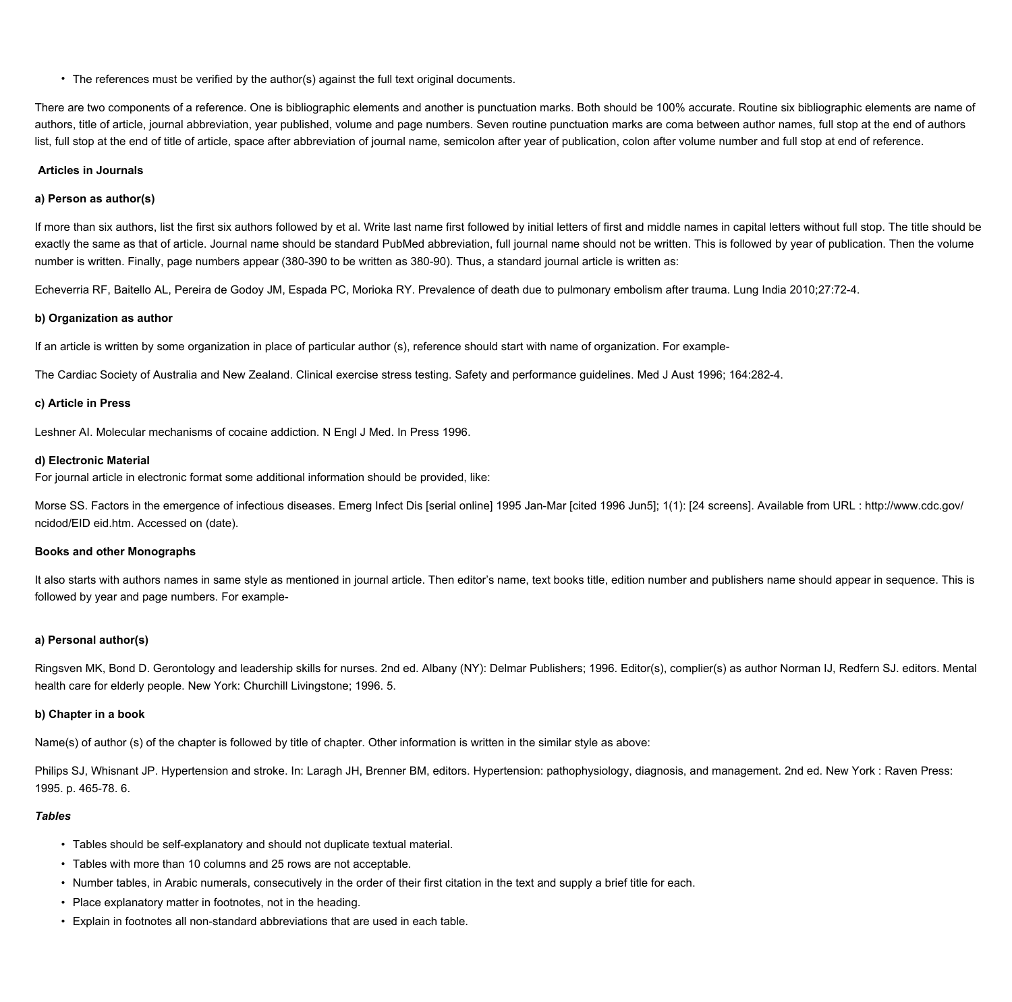**• The references must be verified by the author(s) against the full text original documents.**

There are two components of a reference. One is bibliographic elements and another is punctuation marks. Both should be 100% accurate. Routine six bibliographic elements are name of authors, title of article, journal abbreviation, year published, volume and page numbers. Seven routine punctuation marks are coma between author names, full stop at the end of authors list, full stop at the end of title of article, space after abbreviation of journal name, semicolon after year of publication, colon after volume number and full stop at end of reference.

#### **Articles in Journals**

### **a) Person as author(s)**

If more than six authors, list the first six authors followed by et al. Write last name first followed by initial letters of first and middle names in capital letters without full stop. The title should be exactly the same as that of article. Journal name should be standard PubMed abbreviation, full journal name should not be written. This is followed by year of publication. Then the volume number is written. Finally, page numbers appear (380-390 to be written as 380-90). Thus, a standard journal article is written as:

Echeverria RF, Baitello AL, Pereira de Godoy JM, Espada PC, Morioka RY. Prevalence of death due to pulmonary embolism after trauma. Lung India 2010;27:72-4.

#### **b) Organization as author**

If an article is written by some organization in place of particular author (s), reference should start with name of organization. For example-

The Cardiac Society of Australia and New Zealand. Clinical exercise stress testing. Safety and performance quidelines. Med J Aust 1996; 164:282-4.

### **c) Article in Press**

**Leshner AI. Molecular mechanisms of cocaine addiction. N Engl J Med. In Press 1996.**

### **d) Electronic Material**

**For journal article in electronic format some additional information should be provided, like:**

Morse SS. Factors in the emergence of infectious diseases. Emerg Infect Dis [serial online] 1995 Jan-Mar [cited 1996 Jun5]; 1(1): [24 screens]. Available from URL : http://www.cdc.gov/ **ncidod/EID eid.htm. Accessed on (date).**

#### **Books and other Monographs**

It also starts with authors names in same style as mentioned in journal article. Then editor's name, text books title, edition number and publishers name should appear in sequence. This is **followed by year and page numbers. For example-**

# **a) Personal author(s)**

Ringsven MK, Bond D. Gerontology and leadership skills for nurses. 2nd ed. Albany (NY): Delmar Publishers; 1996. Editor(s), complier(s) as author Norman IJ, Redfern SJ. editors. Mental **health care for elderly people. New York: Churchill Livingstone; 1996. 5.**

#### **b) Chapter in a book**

Name(s) of author (s) of the chapter is followed by title of chapter. Other information is written in the similar style as above:

Philips SJ, Whisnant JP. Hypertension and stroke. In: Laragh JH, Brenner BM, editors. Hypertension: pathophysiology, diagnosis, and management. 2nd ed. New York: Raven Press: **1995. p. 465-78. 6.**

#### *Tables*

- **• Tables should be self-explanatory and should not duplicate textual material.**
- **• Tables with more than 10 columns and 25 rows are not acceptable.**
- Number tables, in Arabic numerals, consecutively in the order of their first citation in the text and supply a brief title for each.
- **• Place explanatory matter in footnotes, not in the heading.**
- **• Explain in footnotes all non-standard abbreviations that are used in each table.**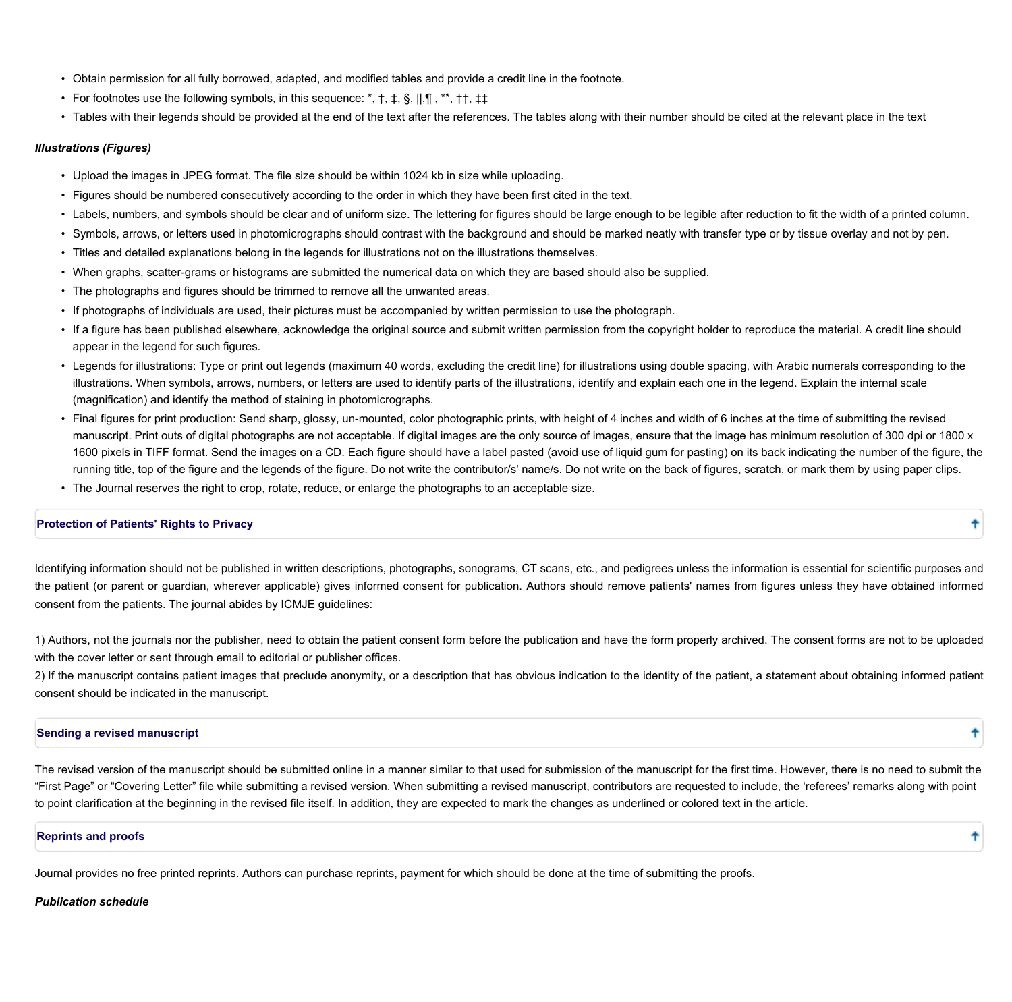- Obtain permission for all fully borrowed, adapted, and modified tables and provide a credit line in the footnote.
- **• For footnotes use the following symbols, in this sequence: \*, †, ‡, §, ||,¶ , \*\*, ††, ‡‡**
- Tables with their legends should be provided at the end of the text after the references. The tables along with their number should be cited at the relevant place in the text

#### *Illustrations (Figures)*

- Upload the images in JPEG format. The file size should be within 1024 kb in size while uploading.
- Figures should be numbered consecutively according to the order in which they have been first cited in the text.
- Labels, numbers, and symbols should be clear and of uniform size. The lettering for figures should be large enough to be legible after reduction to fit the width of a printed column.
- . Symbols, arrows, or letters used in photomicrographs should contrast with the background and should be marked neatly with transfer type or by tissue overlay and not by pen.
- **• Titles and detailed explanations belong in the legends for illustrations not on the illustrations themselves.**
- When graphs, scatter-grams or histograms are submitted the numerical data on which they are based should also be supplied.
- **• The photographs and figures should be trimmed to remove all the unwanted areas.**
- If photographs of individuals are used, their pictures must be accompanied by written permission to use the photograph.
- If a figure has been published elsewhere, acknowledge the original source and submit written permission from the copyright holder to reproduce the material. A credit line should **appear in the legend for such figures.**
- Legends for illustrations: Type or print out legends (maximum 40 words, excluding the credit line) for illustrations using double spacing, with Arabic numerals corresponding to the illustrations. When symbols, arrows, numbers, or letters are used to identify parts of the illustrations, identify and explain each one in the legend. Explain the internal scale **(magnification) and identify the method of staining in photomicrographs.**
- Final figures for print production: Send sharp, glossy, un-mounted, color photographic prints, with height of 4 inches and width of 6 inches at the time of submitting the revised manuscript. Print outs of digital photographs are not acceptable. If digital images are the only source of images, ensure that the image has minimum resolution of 300 dpi or 1800 x 1600 pixels in TIFF format. Send the images on a CD. Each figure should have a label pasted (avoid use of liquid gum for pasting) on its back indicating the number of the figure, the running title, top of the figure and the legends of the figure. Do not write the contributor/s' name/s. Do not write on the back of figures, scratch, or mark them by using paper clips.

╇

ቶ

↟

• The Journal reserves the right to crop, rotate, reduce, or enlarge the photographs to an acceptable size.

# <span id="page-6-0"></span>**Protection of Patients' Rights to Privacy**

Identifying information should not be published in written descriptions, photographs, sonograms, CT scans, etc., and pedigrees unless the information is essential for scientific purposes and the patient (or parent or guardian, wherever applicable) gives informed consent for publication. Authors should remove patients' names from figures unless they have obtained informed **consent from the patients. The journal abides by ICMJE guidelines:**

1) Authors, not the journals nor the publisher, need to obtain the patient consent form before the publication and have the form properly archived. The consent forms are not to be uploaded **with the cover letter or sent through email to editorial or publisher offices.**

2) If the manuscript contains patient images that preclude anonymity, or a description that has obvious indication to the identity of the patient, a statement about obtaining informed patient **consent should be indicated in the manuscript.**

#### <span id="page-6-1"></span>**Sending a revised manuscript**

The revised version of the manuscript should be submitted online in a manner similar to that used for submission of the manuscript for the first time. However, there is no need to submit the "First Page" or "Covering Letter" file while submitting a revised version. When submitting a revised manuscript, contributors are requested to include, the 'referees' remarks along with point to point clarification at the beginning in the revised file itself. In addition, they are expected to mark the changes as underlined or colored text in the article.

#### <span id="page-6-2"></span>**Reprints and proofs**

Journal provides no free printed reprints. Authors can purchase reprints, payment for which should be done at the time of submitting the proofs.

# *Publication schedule*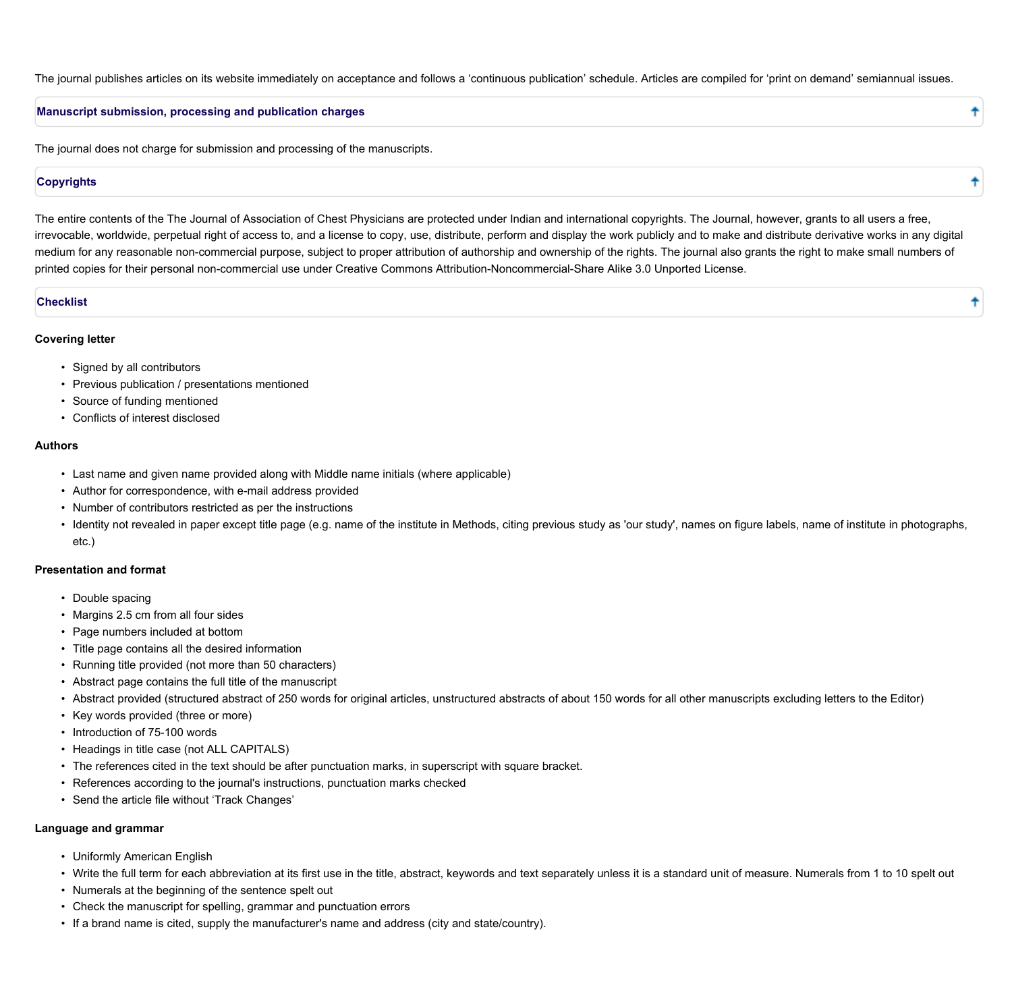The journal publishes articles on its website immediately on acceptance and follows a 'continuous publication' schedule. Articles are compiled for 'print on demand' semiannual issues.

╇

╇

ቶ

# <span id="page-7-0"></span>**Manuscript submission, processing and publication charges**

**The journal does not charge for submission and processing of the manuscripts.**

### <span id="page-7-1"></span>**Copyrights**

The entire contents of the The Journal of Association of Chest Physicians are protected under Indian and international copyrights. The Journal, however, grants to all users a free, irrevocable, worldwide, perpetual right of access to, and a license to copy, use, distribute, perform and display the work publicly and to make and distribute derivative works in any digital medium for any reasonable non-commercial purpose, subject to proper attribution of authorship and ownership of the rights. The journal also grants the right to make small numbers of printed copies for their personal non-commercial use under Creative Commons Attribution-Noncommercial-Share Alike 3.0 Unported License.

# <span id="page-7-2"></span>**Checklist**

#### **Covering letter**

- **• Signed by all contributors**
- **• Previous publication / presentations mentioned**
- **• Source of funding mentioned**
- **• Conflicts of interest disclosed**

# **Authors**

- **• Last name and given name provided along with Middle name initials (where applicable)**
- **• Author for correspondence, with e-mail address provided**
- **• Number of contributors restricted as per the instructions**
- Identity not revealed in paper except title page (e.g. name of the institute in Methods, citing previous study as 'our study', names on figure labels, name of institute in photographs, **etc.)**

### **Presentation and format**

- **• Double spacing**
- **• Margins 2.5 cm from all four sides**
- **• Page numbers included at bottom**
- **• Title page contains all the desired information**
- **• Running title provided (not more than 50 characters)**
- **• Abstract page contains the full title of the manuscript**
- Abstract provided (structured abstract of 250 words for original articles, unstructured abstracts of about 150 words for all other manuscripts excluding letters to the Editor)
- **• Key words provided (three or more)**
- **• Introduction of 75-100 words**
- **• Headings in title case (not ALL CAPITALS)**
- **• The references cited in the text should be after punctuation marks, in superscript with square bracket.**
- **• References according to the journal's instructions, punctuation marks checked**
- **• Send the article file without 'Track Changes'**

### **Language and grammar**

- **• Uniformly American English**
- Write the full term for each abbreviation at its first use in the title, abstract, keywords and text separately unless it is a standard unit of measure. Numerals from 1 to 10 spelt out
- **• Numerals at the beginning of the sentence spelt out**
- **• Check the manuscript for spelling, grammar and punctuation errors**
- **• If a brand name is cited, supply the manufacturer's name and address (city and state/country).**